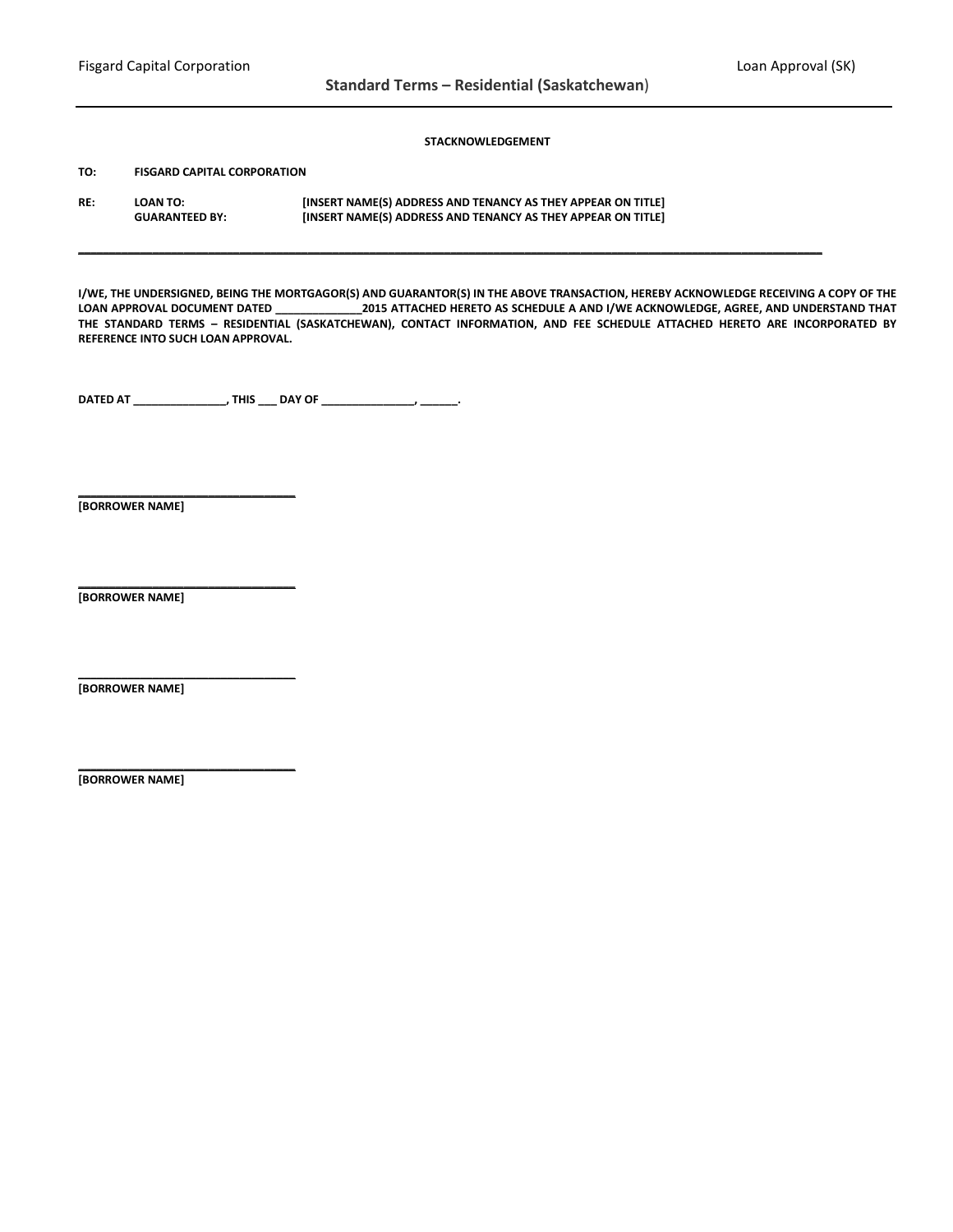## **STACKNOWLEDGEMENT**

**TO: FISGARD CAPITAL CORPORATION**

| RE: | <b>LOAN TO:</b>       | [INSERT NAME(S) ADDRESS AND TENANCY AS THEY APPEAR ON TITLE] |
|-----|-----------------------|--------------------------------------------------------------|
|     | <b>GUARANTEED BY:</b> | [INSERT NAME(S) ADDRESS AND TENANCY AS THEY APPEAR ON TITLE] |

**I/WE, THE UNDERSIGNED, BEING THE MORTGAGOR(S) AND GUARANTOR(S) IN THE ABOVE TRANSACTION, HEREBY ACKNOWLEDGE RECEIVING A COPY OF THE LOAN APPROVAL DOCUMENT DATED \_\_\_\_\_\_\_\_\_\_\_\_\_\_2015 ATTACHED HERETO AS SCHEDULE A AND I/WE ACKNOWLEDGE, AGREE, AND UNDERSTAND THAT THE STANDARD TERMS – RESIDENTIAL (SASKATCHEWAN), CONTACT INFORMATION, AND FEE SCHEDULE ATTACHED HERETO ARE INCORPORATED BY REFERENCE INTO SUCH LOAN APPROVAL.**

**\_\_\_\_\_\_\_\_\_\_\_\_\_\_\_\_\_\_\_\_\_\_\_\_\_\_\_\_\_\_\_\_\_\_\_\_\_\_\_\_\_\_\_\_\_\_\_\_\_\_\_\_\_\_\_\_\_\_\_\_\_\_\_\_\_\_\_\_\_\_\_\_\_\_\_\_\_\_\_\_\_\_\_\_\_\_\_\_\_\_\_\_\_\_\_\_\_\_\_\_\_\_\_\_\_\_\_\_\_\_\_\_\_\_\_\_\_\_\_\_**

**DATED AT \_\_\_\_\_\_\_\_\_\_\_\_\_\_\_, THIS \_\_\_ DAY OF \_\_\_\_\_\_\_\_\_\_\_\_\_\_\_, \_\_\_\_\_\_.**

**[BORROWER NAME]**

**\_\_\_\_\_\_\_\_\_\_\_\_\_\_\_\_\_\_\_\_\_\_\_\_\_\_\_\_\_\_\_\_\_\_\_**

**\_\_\_\_\_\_\_\_\_\_\_\_\_\_\_\_\_\_\_\_\_\_\_\_\_\_\_\_\_\_\_\_\_\_\_**

**\_\_\_\_\_\_\_\_\_\_\_\_\_\_\_\_\_\_\_\_\_\_\_\_\_\_\_\_\_\_\_\_\_\_\_**

**\_\_\_\_\_\_\_\_\_\_\_\_\_\_\_\_\_\_\_\_\_\_\_\_\_\_\_\_\_\_\_\_\_\_\_**

**[BORROWER NAME]**

**[BORROWER NAME]**

**[BORROWER NAME]**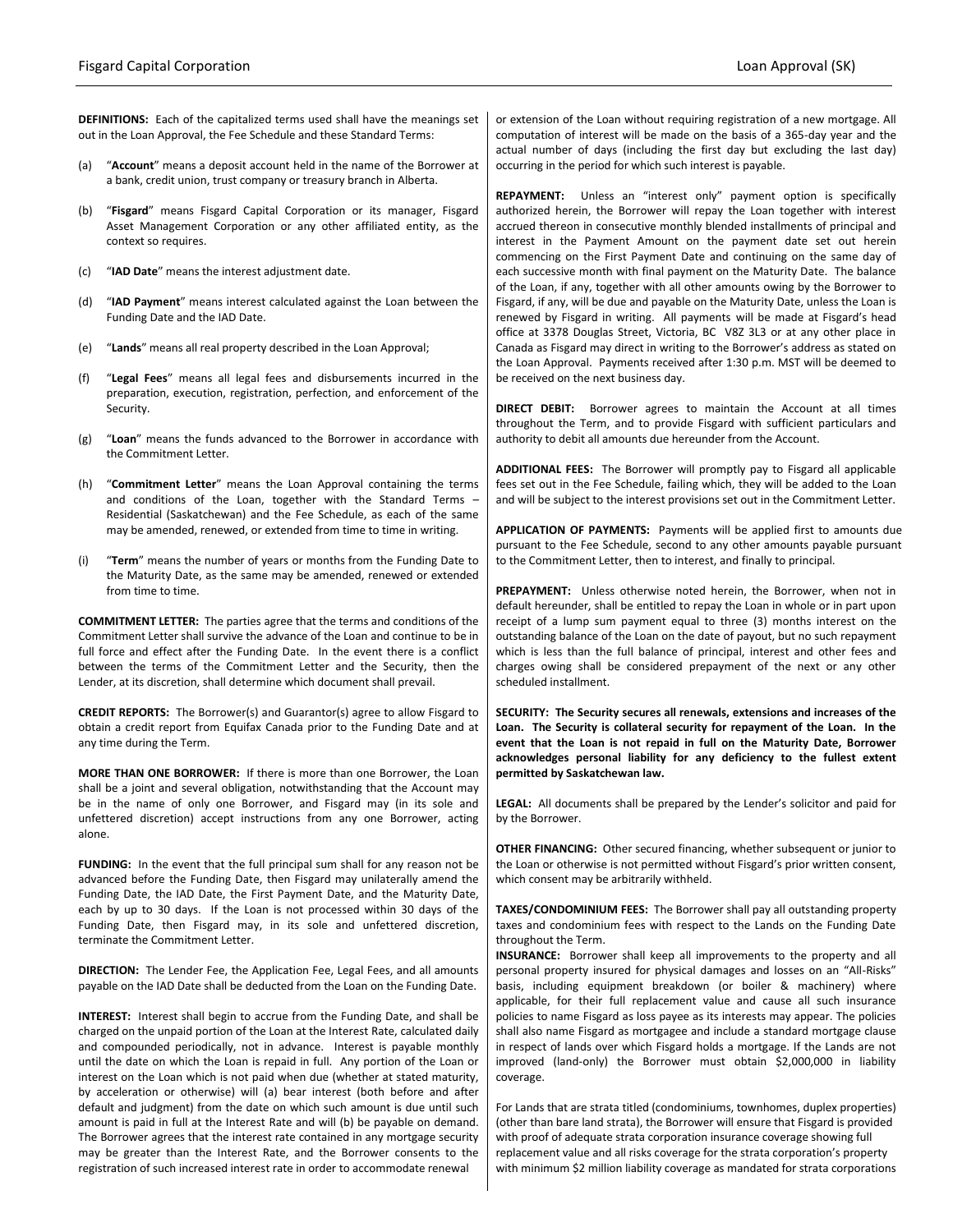**DEFINITIONS:** Each of the capitalized terms used shall have the meanings set out in the Loan Approval, the Fee Schedule and these Standard Terms:

- (a) "**Account**" means a deposit account held in the name of the Borrower at a bank, credit union, trust company or treasury branch in Alberta.
- (b) "**Fisgard**" means Fisgard Capital Corporation or its manager, Fisgard Asset Management Corporation or any other affiliated entity, as the context so requires.
- (c) "**IAD Date**" means the interest adjustment date.
- (d) "**IAD Payment**" means interest calculated against the Loan between the Funding Date and the IAD Date.
- (e) "**Lands**" means all real property described in the Loan Approval;
- (f) "**Legal Fees**" means all legal fees and disbursements incurred in the preparation, execution, registration, perfection, and enforcement of the Security.
- (g) "**Loan**" means the funds advanced to the Borrower in accordance with the Commitment Letter.
- (h) "**Commitment Letter**" means the Loan Approval containing the terms and conditions of the Loan, together with the Standard Terms – Residential (Saskatchewan) and the Fee Schedule, as each of the same may be amended, renewed, or extended from time to time in writing.
- (i) "**Term**" means the number of years or months from the Funding Date to the Maturity Date, as the same may be amended, renewed or extended from time to time.

**COMMITMENT LETTER:** The parties agree that the terms and conditions of the Commitment Letter shall survive the advance of the Loan and continue to be in full force and effect after the Funding Date. In the event there is a conflict between the terms of the Commitment Letter and the Security, then the Lender, at its discretion, shall determine which document shall prevail.

**CREDIT REPORTS:** The Borrower(s) and Guarantor(s) agree to allow Fisgard to obtain a credit report from Equifax Canada prior to the Funding Date and at any time during the Term.

**MORE THAN ONE BORROWER:** If there is more than one Borrower, the Loan shall be a joint and several obligation, notwithstanding that the Account may be in the name of only one Borrower, and Fisgard may (in its sole and unfettered discretion) accept instructions from any one Borrower, acting alone.

**FUNDING:** In the event that the full principal sum shall for any reason not be advanced before the Funding Date, then Fisgard may unilaterally amend the Funding Date, the IAD Date, the First Payment Date, and the Maturity Date, each by up to 30 days. If the Loan is not processed within 30 days of the Funding Date, then Fisgard may, in its sole and unfettered discretion, terminate the Commitment Letter.

**DIRECTION:** The Lender Fee, the Application Fee, Legal Fees, and all amounts payable on the IAD Date shall be deducted from the Loan on the Funding Date.

**INTEREST:** Interest shall begin to accrue from the Funding Date, and shall be charged on the unpaid portion of the Loan at the Interest Rate, calculated daily and compounded periodically, not in advance. Interest is payable monthly until the date on which the Loan is repaid in full. Any portion of the Loan or interest on the Loan which is not paid when due (whether at stated maturity, by acceleration or otherwise) will (a) bear interest (both before and after default and judgment) from the date on which such amount is due until such amount is paid in full at the Interest Rate and will (b) be payable on demand. The Borrower agrees that the interest rate contained in any mortgage security may be greater than the Interest Rate, and the Borrower consents to the registration of such increased interest rate in order to accommodate renewal

or extension of the Loan without requiring registration of a new mortgage. All computation of interest will be made on the basis of a 365-day year and the actual number of days (including the first day but excluding the last day) occurring in the period for which such interest is payable.

**REPAYMENT:** Unless an "interest only" payment option is specifically authorized herein, the Borrower will repay the Loan together with interest accrued thereon in consecutive monthly blended installments of principal and interest in the Payment Amount on the payment date set out herein commencing on the First Payment Date and continuing on the same day of each successive month with final payment on the Maturity Date. The balance of the Loan, if any, together with all other amounts owing by the Borrower to Fisgard, if any, will be due and payable on the Maturity Date, unless the Loan is renewed by Fisgard in writing. All payments will be made at Fisgard's head office at 3378 Douglas Street, Victoria, BC V8Z 3L3 or at any other place in Canada as Fisgard may direct in writing to the Borrower's address as stated on the Loan Approval. Payments received after 1:30 p.m. MST will be deemed to be received on the next business day.

**DIRECT DEBIT:** Borrower agrees to maintain the Account at all times throughout the Term, and to provide Fisgard with sufficient particulars and authority to debit all amounts due hereunder from the Account.

**ADDITIONAL FEES:** The Borrower will promptly pay to Fisgard all applicable fees set out in the Fee Schedule, failing which, they will be added to the Loan and will be subject to the interest provisions set out in the Commitment Letter.

**APPLICATION OF PAYMENTS:** Payments will be applied first to amounts due pursuant to the Fee Schedule, second to any other amounts payable pursuant to the Commitment Letter, then to interest, and finally to principal.

**PREPAYMENT:** Unless otherwise noted herein, the Borrower, when not in default hereunder, shall be entitled to repay the Loan in whole or in part upon receipt of a lump sum payment equal to three (3) months interest on the outstanding balance of the Loan on the date of payout, but no such repayment which is less than the full balance of principal, interest and other fees and charges owing shall be considered prepayment of the next or any other scheduled installment.

**SECURITY: The Security secures all renewals, extensions and increases of the Loan. The Security is collateral security for repayment of the Loan. In the event that the Loan is not repaid in full on the Maturity Date, Borrower acknowledges personal liability for any deficiency to the fullest extent permitted by Saskatchewan law.**

**LEGAL:** All documents shall be prepared by the Lender's solicitor and paid for by the Borrower.

**OTHER FINANCING:** Other secured financing, whether subsequent or junior to the Loan or otherwise is not permitted without Fisgard's prior written consent, which consent may be arbitrarily withheld.

**TAXES/CONDOMINIUM FEES:** The Borrower shall pay all outstanding property taxes and condominium fees with respect to the Lands on the Funding Date throughout the Term.

**INSURANCE:** Borrower shall keep all improvements to the property and all personal property insured for physical damages and losses on an "All-Risks" basis, including equipment breakdown (or boiler & machinery) where applicable, for their full replacement value and cause all such insurance policies to name Fisgard as loss payee as its interests may appear. The policies shall also name Fisgard as mortgagee and include a standard mortgage clause in respect of lands over which Fisgard holds a mortgage. If the Lands are not improved (land-only) the Borrower must obtain \$2,000,000 in liability coverage.

For Lands that are strata titled (condominiums, townhomes, duplex properties) (other than bare land strata), the Borrower will ensure that Fisgard is provided with proof of adequate strata corporation insurance coverage showing full replacement value and all risks coverage for the strata corporation's property with minimum \$2 million liability coverage as mandated for strata corporations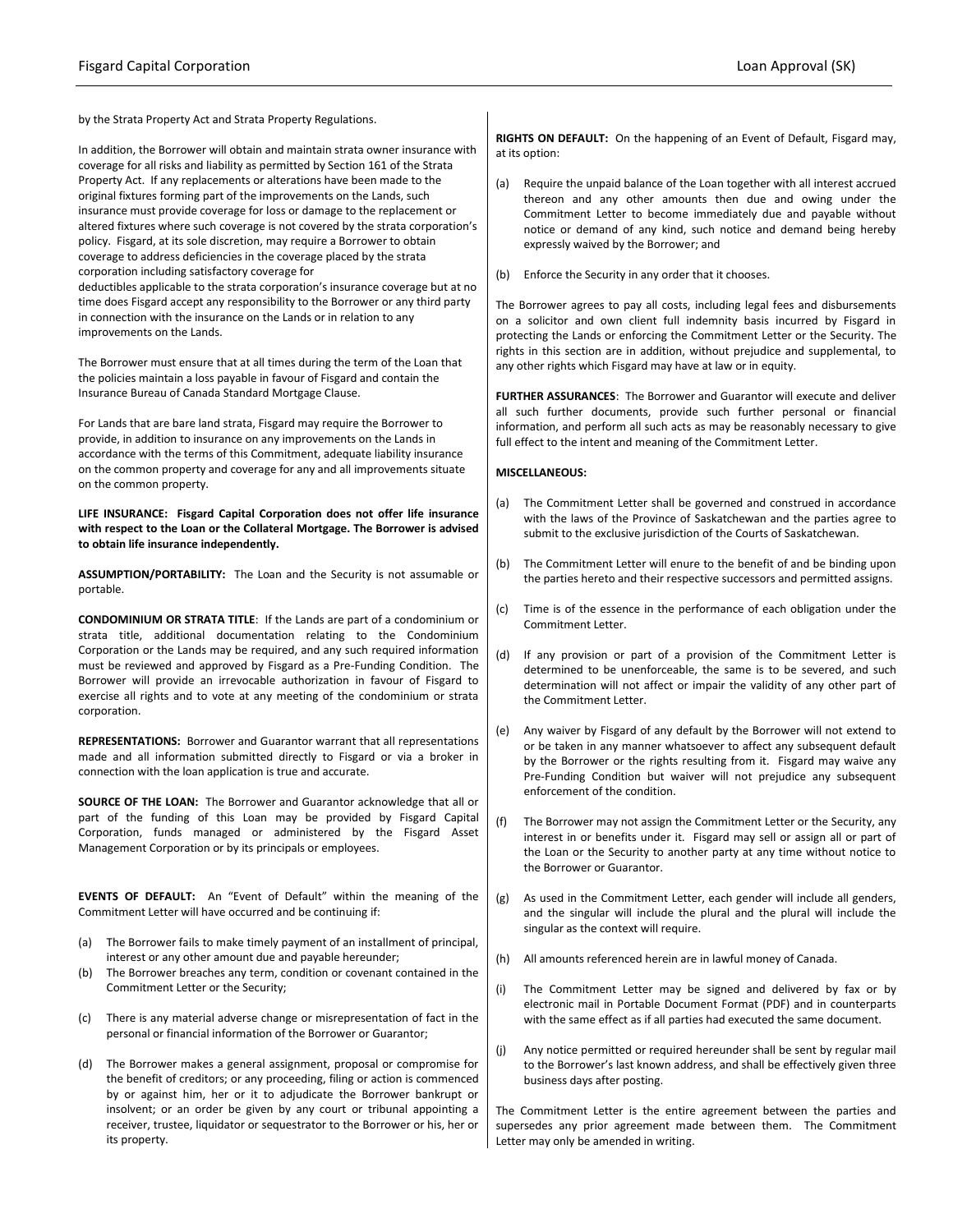improvements on the Lands.

by the Strata Property Act and Strata Property Regulations.

In addition, the Borrower will obtain and maintain strata owner insurance with coverage for all risks and liability as permitted by Section 161 of the Strata Property Act. If any replacements or alterations have been made to the original fixtures forming part of the improvements on the Lands, such insurance must provide coverage for loss or damage to the replacement or altered fixtures where such coverage is not covered by the strata corporation's policy. Fisgard, at its sole discretion, may require a Borrower to obtain coverage to address deficiencies in the coverage placed by the strata corporation including satisfactory coverage for deductibles applicable to the strata corporation's insurance coverage but at no time does Fisgard accept any responsibility to the Borrower or any third party in connection with the insurance on the Lands or in relation to any

The Borrower must ensure that at all times during the term of the Loan that

the policies maintain a loss payable in favour of Fisgard and contain the Insurance Bureau of Canada Standard Mortgage Clause.

For Lands that are bare land strata, Fisgard may require the Borrower to provide, in addition to insurance on any improvements on the Lands in accordance with the terms of this Commitment, adequate liability insurance on the common property and coverage for any and all improvements situate on the common property.

**LIFE INSURANCE: Fisgard Capital Corporation does not offer life insurance with respect to the Loan or the Collateral Mortgage. The Borrower is advised to obtain life insurance independently.**

**ASSUMPTION/PORTABILITY:** The Loan and the Security is not assumable or portable.

**CONDOMINIUM OR STRATA TITLE**: If the Lands are part of a condominium or strata title, additional documentation relating to the Condominium Corporation or the Lands may be required, and any such required information must be reviewed and approved by Fisgard as a Pre-Funding Condition. The Borrower will provide an irrevocable authorization in favour of Fisgard to exercise all rights and to vote at any meeting of the condominium or strata corporation.

**REPRESENTATIONS:** Borrower and Guarantor warrant that all representations made and all information submitted directly to Fisgard or via a broker in connection with the loan application is true and accurate.

**SOURCE OF THE LOAN:** The Borrower and Guarantor acknowledge that all or part of the funding of this Loan may be provided by Fisgard Capital Corporation, funds managed or administered by the Fisgard Asset Management Corporation or by its principals or employees.

**EVENTS OF DEFAULT:** An "Event of Default" within the meaning of the Commitment Letter will have occurred and be continuing if:

- (a) The Borrower fails to make timely payment of an installment of principal, interest or any other amount due and payable hereunder;
- (b) The Borrower breaches any term, condition or covenant contained in the Commitment Letter or the Security;
- (c) There is any material adverse change or misrepresentation of fact in the personal or financial information of the Borrower or Guarantor;
- (d) The Borrower makes a general assignment, proposal or compromise for the benefit of creditors; or any proceeding, filing or action is commenced by or against him, her or it to adjudicate the Borrower bankrupt or insolvent; or an order be given by any court or tribunal appointing a receiver, trustee, liquidator or sequestrator to the Borrower or his, her or its property.

**RIGHTS ON DEFAULT:** On the happening of an Event of Default, Fisgard may, at its option:

- (a) Require the unpaid balance of the Loan together with all interest accrued thereon and any other amounts then due and owing under the Commitment Letter to become immediately due and payable without notice or demand of any kind, such notice and demand being hereby expressly waived by the Borrower; and
- (b) Enforce the Security in any order that it chooses.

The Borrower agrees to pay all costs, including legal fees and disbursements on a solicitor and own client full indemnity basis incurred by Fisgard in protecting the Lands or enforcing the Commitment Letter or the Security. The rights in this section are in addition, without prejudice and supplemental, to any other rights which Fisgard may have at law or in equity.

**FURTHER ASSURANCES**: The Borrower and Guarantor will execute and deliver all such further documents, provide such further personal or financial information, and perform all such acts as may be reasonably necessary to give full effect to the intent and meaning of the Commitment Letter.

#### **MISCELLANEOUS:**

- (a) The Commitment Letter shall be governed and construed in accordance with the laws of the Province of Saskatchewan and the parties agree to submit to the exclusive jurisdiction of the Courts of Saskatchewan.
- (b) The Commitment Letter will enure to the benefit of and be binding upon the parties hereto and their respective successors and permitted assigns.
- (c) Time is of the essence in the performance of each obligation under the Commitment Letter.
- (d) If any provision or part of a provision of the Commitment Letter is determined to be unenforceable, the same is to be severed, and such determination will not affect or impair the validity of any other part of the Commitment Letter.
- (e) Any waiver by Fisgard of any default by the Borrower will not extend to or be taken in any manner whatsoever to affect any subsequent default by the Borrower or the rights resulting from it. Fisgard may waive any Pre-Funding Condition but waiver will not prejudice any subsequent enforcement of the condition.
- (f) The Borrower may not assign the Commitment Letter or the Security, any interest in or benefits under it. Fisgard may sell or assign all or part of the Loan or the Security to another party at any time without notice to the Borrower or Guarantor.
- (g) As used in the Commitment Letter, each gender will include all genders, and the singular will include the plural and the plural will include the singular as the context will require.
- (h) All amounts referenced herein are in lawful money of Canada.
- (i) The Commitment Letter may be signed and delivered by fax or by electronic mail in Portable Document Format (PDF) and in counterparts with the same effect as if all parties had executed the same document.
- (j) Any notice permitted or required hereunder shall be sent by regular mail to the Borrower's last known address, and shall be effectively given three business days after posting.

The Commitment Letter is the entire agreement between the parties and supersedes any prior agreement made between them. The Commitment Letter may only be amended in writing.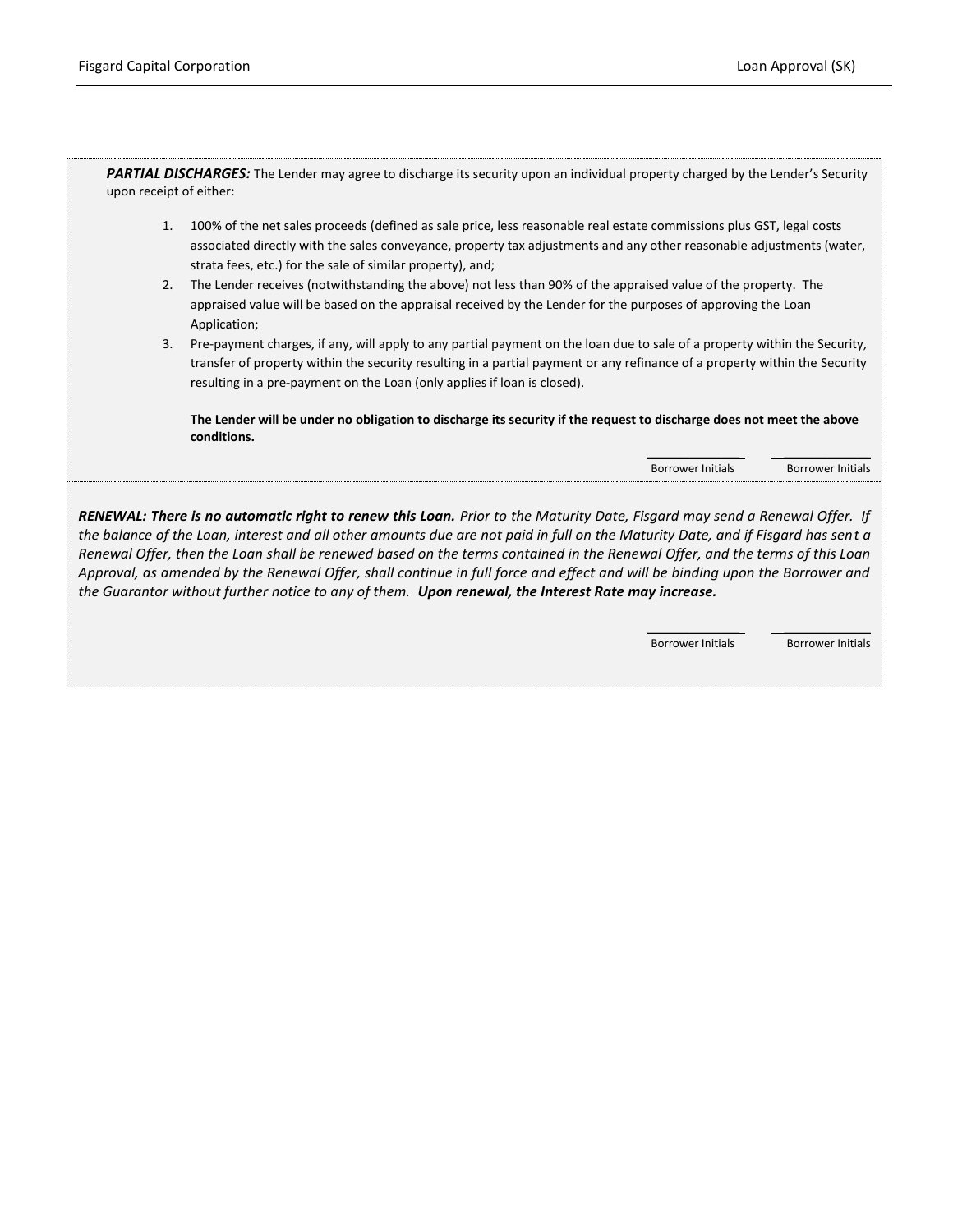PARTIAL DISCHARGES: The Lender may agree to discharge its security upon an individual property charged by the Lender's Security upon receipt of either:

- 1. 100% of the net sales proceeds (defined as sale price, less reasonable real estate commissions plus GST, legal costs associated directly with the sales conveyance, property tax adjustments and any other reasonable adjustments (water, strata fees, etc.) for the sale of similar property), and;
- 2. The Lender receives (notwithstanding the above) not less than 90% of the appraised value of the property. The appraised value will be based on the appraisal received by the Lender for the purposes of approving the Loan Application;
- 3. Pre-payment charges, if any, will apply to any partial payment on the loan due to sale of a property within the Security, transfer of property within the security resulting in a partial payment or any refinance of a property within the Security resulting in a pre-payment on the Loan (only applies if loan is closed).

**The Lender will be under no obligation to discharge its security if the request to discharge does not meet the above conditions.**

> \_\_\_\_\_\_\_\_\_\_\_\_\_\_\_ \_\_\_\_\_\_\_\_\_\_\_\_\_\_ Borrower Initials Borrower Initials

*RENEWAL: There is no automatic right to renew this Loan. Prior to the Maturity Date, Fisgard may send a Renewal Offer. If the balance of the Loan, interest and all other amounts due are not paid in full on the Maturity Date, and if Fisgard has sent a Renewal Offer, then the Loan shall be renewed based on the terms contained in the Renewal Offer, and the terms of this Loan Approval, as amended by the Renewal Offer, shall continue in full force and effect and will be binding upon the Borrower and the Guarantor without further notice to any of them. Upon renewal, the Interest Rate may increase.*

> \_\_\_\_\_\_\_\_\_\_\_\_\_\_\_ \_\_\_\_\_\_\_\_\_\_\_\_\_\_ Borrower Initials Borrower Initials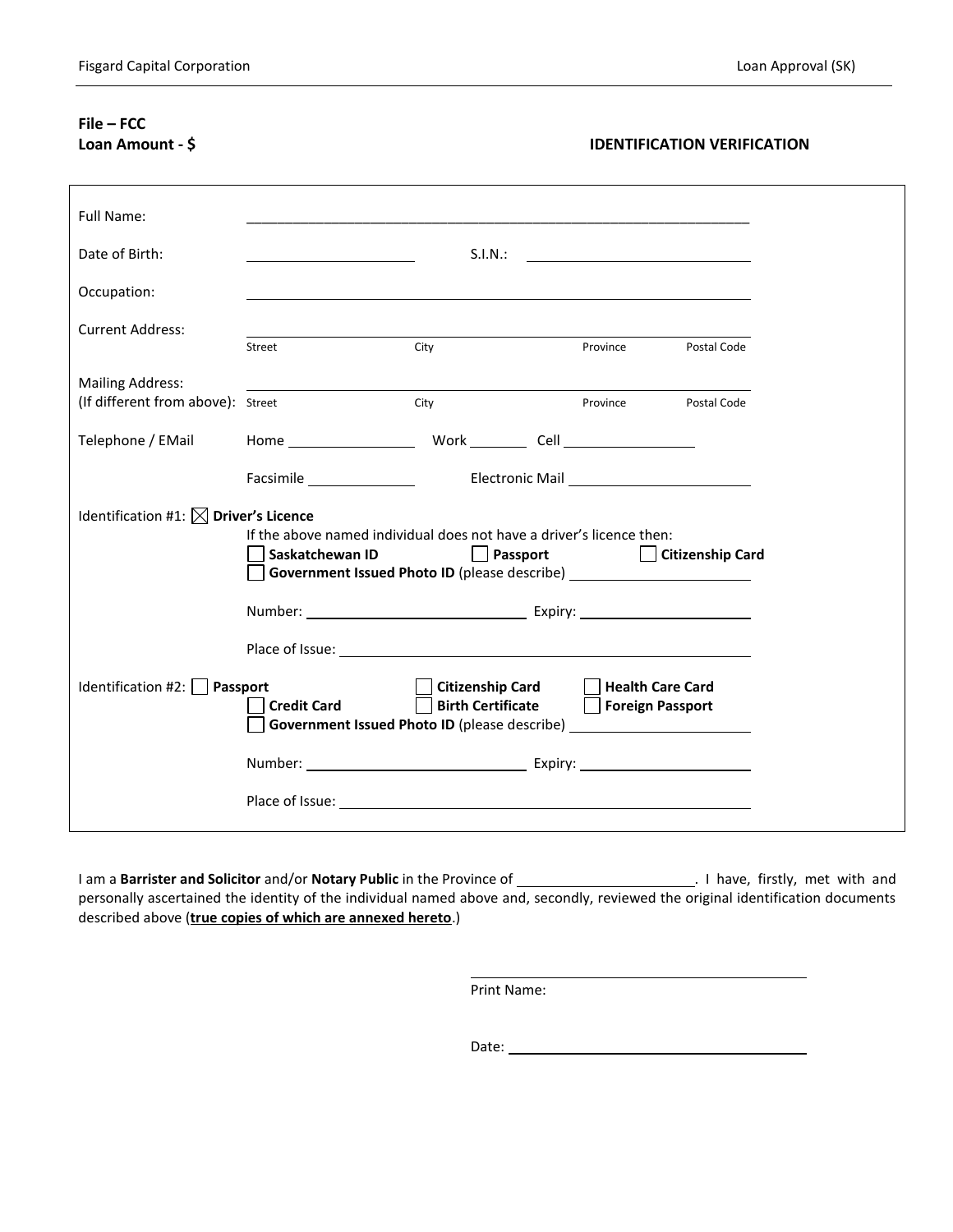# **File – FCC**

## **Loan Amount - \$ IDENTIFICATION VERIFICATION**

| Full Name:                                                                                                                                                                                                                                                                |                                |                                                                                                                                         |                                                        |                    |  |  |  |
|---------------------------------------------------------------------------------------------------------------------------------------------------------------------------------------------------------------------------------------------------------------------------|--------------------------------|-----------------------------------------------------------------------------------------------------------------------------------------|--------------------------------------------------------|--------------------|--|--|--|
| Date of Birth:                                                                                                                                                                                                                                                            |                                | S.I.N.:                                                                                                                                 |                                                        |                    |  |  |  |
| Occupation:                                                                                                                                                                                                                                                               |                                |                                                                                                                                         |                                                        |                    |  |  |  |
| <b>Current Address:</b>                                                                                                                                                                                                                                                   | Street                         | City                                                                                                                                    | Province                                               | Postal Code        |  |  |  |
| <b>Mailing Address:</b>                                                                                                                                                                                                                                                   |                                |                                                                                                                                         |                                                        |                    |  |  |  |
| (If different from above): Street                                                                                                                                                                                                                                         |                                | City                                                                                                                                    | Province                                               | <b>Postal Code</b> |  |  |  |
| Telephone / EMail                                                                                                                                                                                                                                                         |                                | Home Work Cell Cell                                                                                                                     |                                                        |                    |  |  |  |
|                                                                                                                                                                                                                                                                           |                                |                                                                                                                                         |                                                        |                    |  |  |  |
| Identification #1: $\boxtimes$ Driver's Licence<br>If the above named individual does not have a driver's licence then:<br>Saskatchewan ID<br>Passport    <br><b>Citizenship Card</b><br>Government Issued Photo ID (please describe) ___________________________________ |                                |                                                                                                                                         |                                                        |                    |  |  |  |
|                                                                                                                                                                                                                                                                           |                                |                                                                                                                                         |                                                        |                    |  |  |  |
|                                                                                                                                                                                                                                                                           |                                |                                                                                                                                         |                                                        |                    |  |  |  |
|                                                                                                                                                                                                                                                                           |                                |                                                                                                                                         |                                                        |                    |  |  |  |
| Identification #2: $\Box$                                                                                                                                                                                                                                                 | Passport<br><b>Credit Card</b> | <b>Citizenship Card</b><br><b>Birth Certificate</b><br>Government Issued Photo ID (please describe) ___________________________________ | <b>Health Care Card</b><br>$\perp$<br>Foreign Passport |                    |  |  |  |
|                                                                                                                                                                                                                                                                           |                                | Number: Number: Expiry: Number:                                                                                                         |                                                        |                    |  |  |  |
|                                                                                                                                                                                                                                                                           |                                |                                                                                                                                         |                                                        |                    |  |  |  |

I am a **Barrister and Solicitor** and/or **Notary Public** in the Province of . I have, firstly, met with and personally ascertained the identity of the individual named above and, secondly, reviewed the original identification documents described above (**true copies of which are annexed hereto**.)

Print Name:

Date: